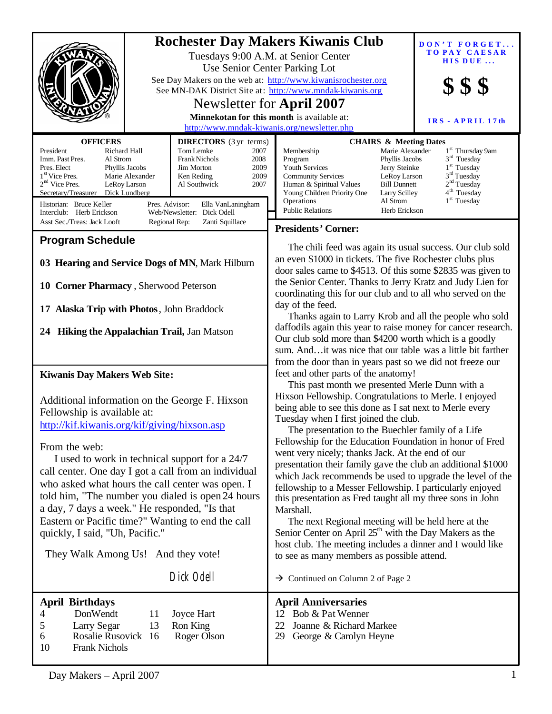| <b>OFFICERS</b><br>President<br>Richard Hall<br>Imm. Past Pres.<br>Al Strom<br>Pres. Elect<br>Phyllis Jacobs<br>1 <sup>st</sup> Vice Pres.<br>Marie Alexander<br>$2nd$ Vice Pres.<br>LeRoy Larson<br>Secretary/Treasurer Dick Lundberg<br>Historian: Bruce Keller<br>Pres. Advisor:                                                                                                                                                                                                                                                                                                                   | <b>DIRECTORS</b> (3 yr terms)<br>Tom Lemke<br>2007<br><b>Frank Nichols</b><br>2008<br>Jim Morton<br>2009<br>Ken Reding<br>2009<br>2007<br>Al Southwick<br>Ella VanLaningham | <b>Rochester Day Makers Kiwanis Club</b><br>Tuesdays 9:00 A.M. at Senior Center<br>Use Senior Center Parking Lot<br>See Day Makers on the web at: http://www.kiwanisrochester.org<br>See MN-DAK District Site at: http://www.mndak-kiwanis.org<br>Newsletter for April 2007<br>Minnekotan for this month is available at:<br>http://www.mndak-kiwanis.org/newsletter.php<br>Membership<br>Program<br>Youth Services<br><b>Community Services</b><br>Human & Spiritual Values<br>Young Children Priority One<br>Operations<br><b>Public Relations</b>                                                                                                                                                                                                                                                                                                                                                                                                                                    | <b>CHAIRS &amp; Meeting Dates</b><br>Marie Alexander<br>Phyllis Jacobs<br>Jerry Steinke<br>LeRoy Larson<br><b>Bill Dunnett</b><br>Larry Scilley<br>Al Strom<br>Herb Erickson | $\mathbf{DON}$ $\mathbf{T}$ $\mathbf{FOREGET}$<br><b>TOPAY CAESAR</b><br>HIS DUE<br>IRS - APRIL 17th<br>1 <sup>st</sup> Thursday 9am<br>$3rd$ Tuesday<br>$1st$ Tuesday<br>$3rd$ Tuesday<br>2 <sup>nd</sup> Tuesday<br>4 <sup>th</sup> Tuesday<br>1 <sup>st</sup> Tuesday |
|-------------------------------------------------------------------------------------------------------------------------------------------------------------------------------------------------------------------------------------------------------------------------------------------------------------------------------------------------------------------------------------------------------------------------------------------------------------------------------------------------------------------------------------------------------------------------------------------------------|-----------------------------------------------------------------------------------------------------------------------------------------------------------------------------|-----------------------------------------------------------------------------------------------------------------------------------------------------------------------------------------------------------------------------------------------------------------------------------------------------------------------------------------------------------------------------------------------------------------------------------------------------------------------------------------------------------------------------------------------------------------------------------------------------------------------------------------------------------------------------------------------------------------------------------------------------------------------------------------------------------------------------------------------------------------------------------------------------------------------------------------------------------------------------------------|------------------------------------------------------------------------------------------------------------------------------------------------------------------------------|--------------------------------------------------------------------------------------------------------------------------------------------------------------------------------------------------------------------------------------------------------------------------|
| Interclub: Herb Erickson<br>Web/Newsletter: Dick Odell<br>Asst Sec./Treas: Jack Looft<br>Zanti Squillace<br>Regional Rep:                                                                                                                                                                                                                                                                                                                                                                                                                                                                             |                                                                                                                                                                             | <b>Presidents' Corner:</b>                                                                                                                                                                                                                                                                                                                                                                                                                                                                                                                                                                                                                                                                                                                                                                                                                                                                                                                                                              |                                                                                                                                                                              |                                                                                                                                                                                                                                                                          |
| <b>Program Schedule</b><br>03 Hearing and Service Dogs of MN, Mark Hilburn<br>10 Corner Pharmacy, Sherwood Peterson<br>17 Alaska Trip with Photos, John Braddock<br>24 Hiking the Appalachian Trail, Jan Matson                                                                                                                                                                                                                                                                                                                                                                                       |                                                                                                                                                                             | The chili feed was again its usual success. Our club sold<br>an even \$1000 in tickets. The five Rochester clubs plus<br>door sales came to \$4513. Of this some \$2835 was given to<br>the Senior Center. Thanks to Jerry Kratz and Judy Lien for<br>coordinating this for our club and to all who served on the<br>day of the feed.<br>Thanks again to Larry Krob and all the people who sold<br>daffodils again this year to raise money for cancer research.<br>Our club sold more than \$4200 worth which is a goodly<br>sum. And it was nice that our table was a little bit farther<br>from the door than in years past so we did not freeze our                                                                                                                                                                                                                                                                                                                                 |                                                                                                                                                                              |                                                                                                                                                                                                                                                                          |
| <b>Kiwanis Day Makers Web Site:</b><br>Additional information on the George F. Hixson<br>Fellowship is available at:<br>http://kif.kiwanis.org/kif/giving/hixson.asp<br>From the web:<br>I used to work in technical support for a 24/7<br>call center. One day I got a call from an individual<br>who asked what hours the call center was open. I<br>told him, "The number you dialed is open 24 hours<br>a day, 7 days a week." He responded, "Is that<br>Eastern or Pacific time?" Wanting to end the call<br>quickly, I said, "Uh, Pacific."<br>They Walk Among Us! And they vote!<br>Dick Odell |                                                                                                                                                                             | feet and other parts of the anatomy!<br>This past month we presented Merle Dunn with a<br>Hixson Fellowship. Congratulations to Merle. I enjoyed<br>being able to see this done as I sat next to Merle every<br>Tuesday when I first joined the club.<br>The presentation to the Buechler family of a Life<br>Fellowship for the Education Foundation in honor of Fred<br>went very nicely; thanks Jack. At the end of our<br>presentation their family gave the club an additional \$1000<br>which Jack recommends be used to upgrade the level of the<br>fellowship to a Messer Fellowship. I particularly enjoyed<br>this presentation as Fred taught all my three sons in John<br>Marshall.<br>The next Regional meeting will be held here at the<br>Senior Center on April 25 <sup>th</sup> with the Day Makers as the<br>host club. The meeting includes a dinner and I would like<br>to see as many members as possible attend.<br>$\rightarrow$ Continued on Column 2 of Page 2 |                                                                                                                                                                              |                                                                                                                                                                                                                                                                          |
| <b>April Birthdays</b><br>DonWendt<br>4<br>Joyce Hart<br>11<br>5<br>Larry Segar<br>Ron King<br>13<br>Rosalie Rusovick 16<br>Roger Olson<br>6<br>10<br><b>Frank Nichols</b>                                                                                                                                                                                                                                                                                                                                                                                                                            |                                                                                                                                                                             | <b>April Anniversaries</b><br>12 Bob & Pat Wenner<br>Joanne & Richard Markee<br>22<br>29<br>George & Carolyn Heyne                                                                                                                                                                                                                                                                                                                                                                                                                                                                                                                                                                                                                                                                                                                                                                                                                                                                      |                                                                                                                                                                              |                                                                                                                                                                                                                                                                          |
|                                                                                                                                                                                                                                                                                                                                                                                                                                                                                                                                                                                                       |                                                                                                                                                                             |                                                                                                                                                                                                                                                                                                                                                                                                                                                                                                                                                                                                                                                                                                                                                                                                                                                                                                                                                                                         |                                                                                                                                                                              |                                                                                                                                                                                                                                                                          |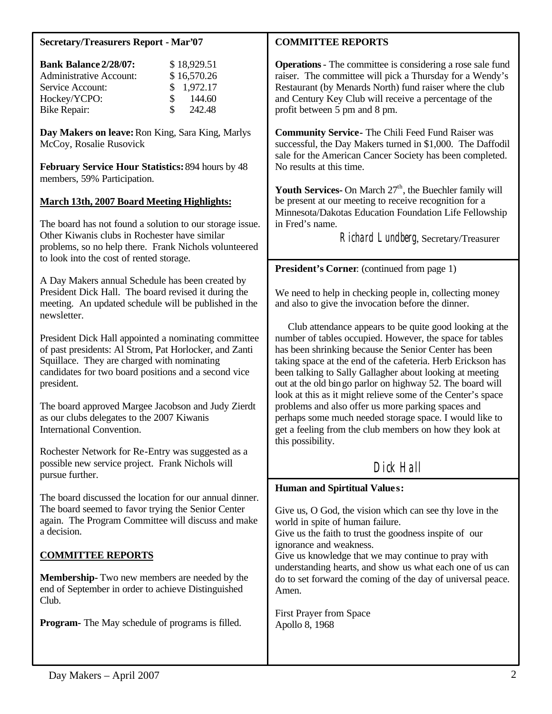### **Secretary/Treasurers Report - Mar'07**

| <b>Bank Balance 2/28/07:</b>   | \$18,929.51   |
|--------------------------------|---------------|
| <b>Administrative Account:</b> | \$16,570.26   |
| Service Account:               | \$1,972.17    |
| Hockey/YCPO:                   | 144.60<br>\$. |
| <b>Bike Repair:</b>            | 242.48<br>\$. |

**Day Makers on leave:** Ron King, Sara King, Marlys McCoy, Rosalie Rusovick

**February Service Hour Statistics:** 894 hours by 48 members, 59% Participation.

#### **March 13th, 2007 Board Meeting Highlights:**

The board has not found a solution to our storage issue. Other Kiwanis clubs in Rochester have similar problems, so no help there. Frank Nichols volunteered to look into the cost of rented storage.

A Day Makers annual Schedule has been created by President Dick Hall. The board revised it during the meeting. An updated schedule will be published in the newsletter.

President Dick Hall appointed a nominating committee of past presidents: Al Strom, Pat Horlocker, and Zanti Squillace. They are charged with nominating candidates for two board positions and a second vice president.

The board approved Margee Jacobson and Judy Zierdt as our clubs delegates to the 2007 Kiwanis International Convention.

Rochester Network for Re-Entry was suggested as a possible new service project. Frank Nichols will pursue further.

The board discussed the location for our annual dinner. The board seemed to favor trying the Senior Center again. The Program Committee will discuss and make a decision.

# **COMMITTEE REPORTS**

**Membership-** Two new members are needed by the end of September in order to achieve Distinguished Club.

**Program-** The May schedule of programs is filled.

### **COMMITTEE REPORTS**

**Operations**- The committee is considering a rose sale fund raiser. The committee will pick a Thursday for a Wendy's Restaurant (by Menards North) fund raiser where the club and Century Key Club will receive a percentage of the profit between 5 pm and 8 pm.

**Community Service-** The Chili Feed Fund Raiser was successful, the Day Makers turned in \$1,000. The Daffodil sale for the American Cancer Society has been completed. No results at this time.

Youth Services- On March  $27<sup>th</sup>$ , the Buechler family will be present at our meeting to receive recognition for a Minnesota/Dakotas Education Foundation Life Fellowship in Fred's name.

Richard Lundberg, Secretary/Treasurer

#### **President's Corner**: (continued from page 1)

We need to help in checking people in, collecting money and also to give the invocation before the dinner.

 Club attendance appears to be quite good looking at the number of tables occupied. However, the space for tables has been shrinking because the Senior Center has been taking space at the end of the cafeteria. Herb Erickson has been talking to Sally Gallagher about looking at meeting out at the old bingo parlor on highway 52. The board will look at this as it might relieve some of the Center's space problems and also offer us more parking spaces and perhaps some much needed storage space. I would like to get a feeling from the club members on how they look at this possibility.

# Dick Hall

### **Human and Spirtitual Value s:**

Give us, O God, the vision which can see thy love in the world in spite of human failure.

Give us the faith to trust the goodness inspite of our ignorance and weakness.

Give us knowledge that we may continue to pray with understanding hearts, and show us what each one of us can do to set forward the coming of the day of universal peace. Amen.

First Prayer from Space Apollo 8, 1968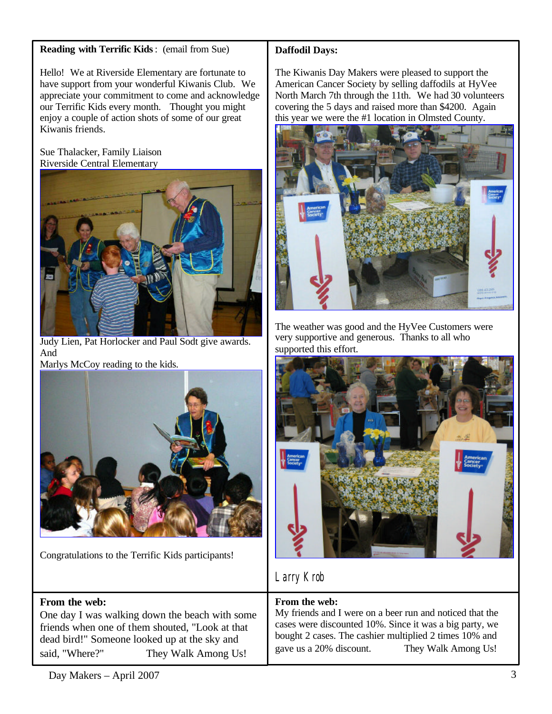# **Reading with Terrific Kids**: (email from Sue)

Hello! We at Riverside Elementary are fortunate to have support from your wonderful Kiwanis Club. We appreciate your commitment to come and acknowledge our Terrific Kids every month. Thought you might enjoy a couple of action shots of some of our great Kiwanis friends.

### Sue Thalacker, Family Liaison Riverside Central Elementary



Judy Lien, Pat Horlocker and Paul Sodt give awards. And Marlys McCoy reading to the kids.



Congratulations to the Terrific Kids participants!

# **From the web:**

One day I was walking down the beach with some friends when one of them shouted, "Look at that dead bird!" Someone looked up at the sky and said, "Where?" They Walk Among Us!

# **Daffodil Days:**

The Kiwanis Day Makers were pleased to support the American Cancer Society by selling daffodils at HyVee North March 7th through the 11th. We had 30 volunteers covering the 5 days and raised more than \$4200. Again this year we were the #1 location in Olmsted County.



The weather was good and the HyVee Customers were very supportive and generous. Thanks to all who supported this effort.



# Larry Krob

# **From the web:**

My friends and I were on a beer run and noticed that the cases were discounted 10%. Since it was a big party, we bought 2 cases. The cashier multiplied 2 times 10% and gave us a 20% discount. They Walk Among Us!